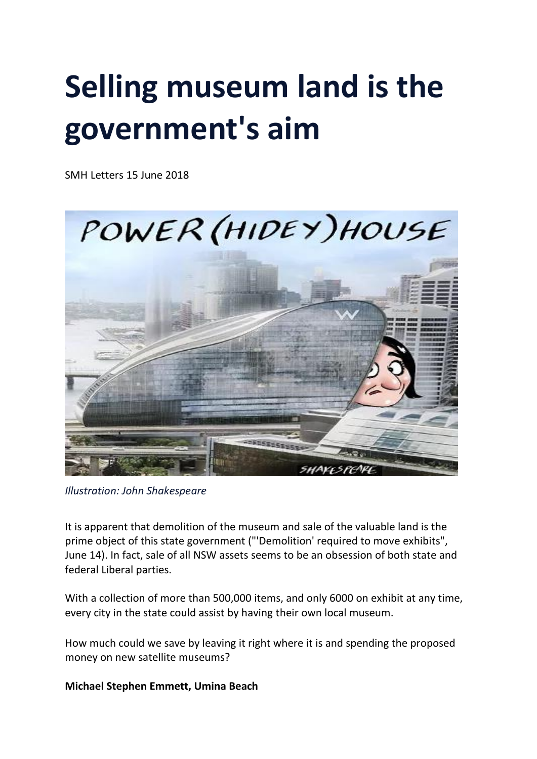# **Selling museum land is the government's aim**

SMH Letters 15 June 2018



*Illustration: John Shakespeare*

It is apparent that demolition of the museum and sale of the valuable land is the prime object of this state government ("'Demolition' required to move exhibits", June 14). In fact, sale of all NSW assets seems to be an obsession of both state and federal Liberal parties.

With a collection of more than 500,000 items, and only 6000 on exhibit at any time, every city in the state could assist by having their own local museum.

How much could we save by leaving it right where it is and spending the proposed money on new satellite museums?

## **Michael Stephen Emmett, Umina Beach**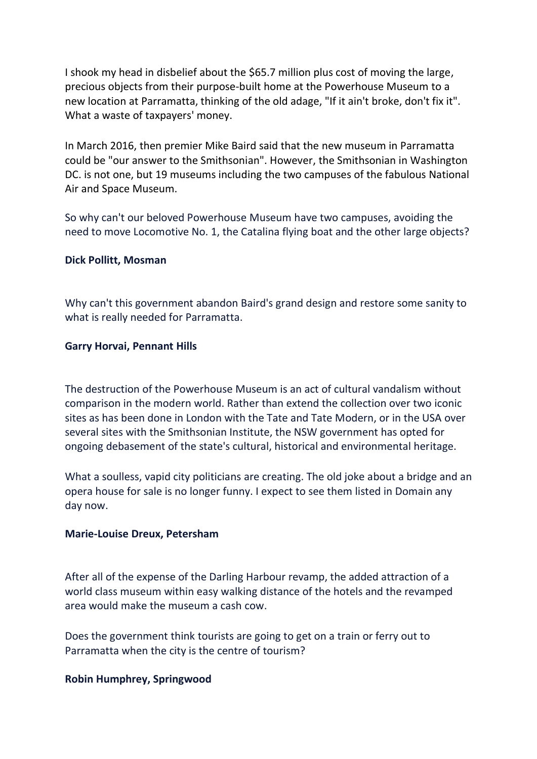I shook my head in disbelief about the \$65.7 million plus cost of moving the large, precious objects from their purpose-built home at the Powerhouse Museum to a new location at Parramatta, thinking of the old adage, "If it ain't broke, don't fix it". What a waste of taxpayers' money.

In March 2016, then premier Mike Baird said that the new museum in Parramatta could be "our answer to the Smithsonian". However, the Smithsonian in Washington DC. is not one, but 19 museums including the two campuses of the fabulous National Air and Space Museum.

So why can't our beloved Powerhouse Museum have two campuses, avoiding the need to move Locomotive No. 1, the Catalina flying boat and the other large objects?

#### **Dick Pollitt, Mosman**

Why can't this government abandon Baird's grand design and restore some sanity to what is really needed for Parramatta.

#### **Garry Horvai, Pennant Hills**

The destruction of the Powerhouse Museum is an act of cultural vandalism without comparison in the modern world. Rather than extend the collection over two iconic sites as has been done in London with the Tate and Tate Modern, or in the USA over several sites with the Smithsonian Institute, the NSW government has opted for ongoing debasement of the state's cultural, historical and environmental heritage.

What a soulless, vapid city politicians are creating. The old joke about a bridge and an opera house for sale is no longer funny. I expect to see them listed in Domain any day now.

#### **Marie-Louise Dreux, Petersham**

After all of the expense of the Darling Harbour revamp, the added attraction of a world class museum within easy walking distance of the hotels and the revamped area would make the museum a cash cow.

Does the government think tourists are going to get on a train or ferry out to Parramatta when the city is the centre of tourism?

## **Robin Humphrey, Springwood**